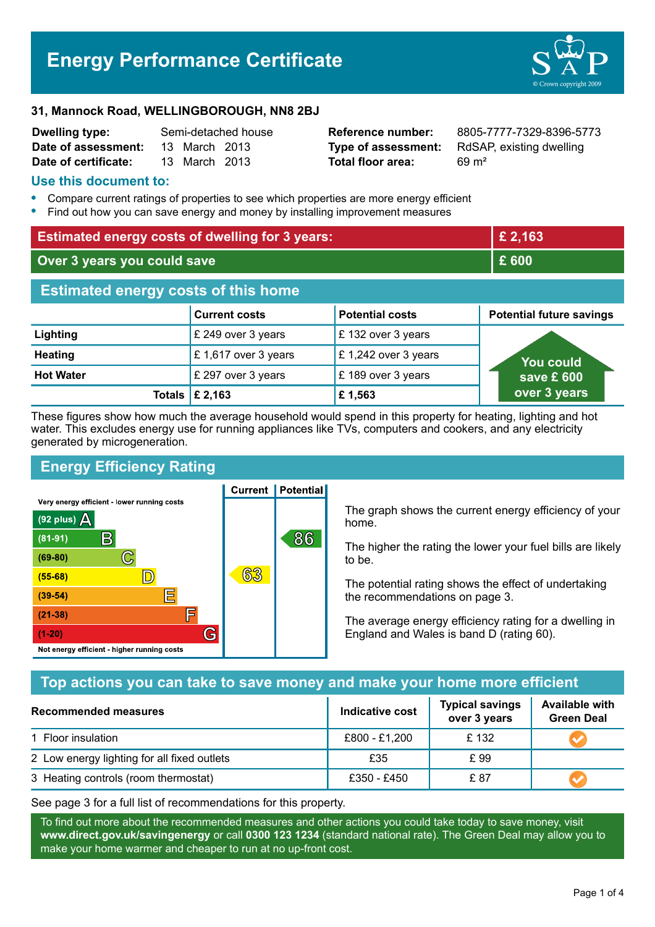## **Energy Performance Certificate**



#### **31, Mannock Road, WELLINGBOROUGH, NN8 2BJ**

| <b>Dwelling type:</b> | Semi-detached house |               |  |
|-----------------------|---------------------|---------------|--|
| Date of assessment:   |                     | 13 March 2013 |  |
| Date of certificate:  |                     | 13 March 2013 |  |

# **Total floor area:** 69 m<sup>2</sup>

**Reference number:** 8805-7777-7329-8396-5773 **Type of assessment:** RdSAP, existing dwelling

#### **Use this document to:**

- **•** Compare current ratings of properties to see which properties are more energy efficient
- **•** Find out how you can save energy and money by installing improvement measures

| <b>Estimated energy costs of dwelling for 3 years:</b> |                           |                        | £ 2,163                         |  |
|--------------------------------------------------------|---------------------------|------------------------|---------------------------------|--|
| Over 3 years you could save                            |                           | £ 600                  |                                 |  |
| <b>Estimated energy costs of this home</b>             |                           |                        |                                 |  |
|                                                        | <b>Current costs</b>      | <b>Potential costs</b> | <b>Potential future savings</b> |  |
| Lighting                                               | £ 249 over 3 years        | £132 over 3 years      |                                 |  |
| <b>Heating</b>                                         | £1,617 over 3 years       | £ 1,242 over 3 years   | You could                       |  |
| <b>Hot Water</b>                                       | £ 297 over 3 years        | £189 over 3 years      | save £ 600                      |  |
|                                                        | Totals $\mathsf{E}$ 2,163 | £1,563                 | over 3 years                    |  |

These figures show how much the average household would spend in this property for heating, lighting and hot water. This excludes energy use for running appliances like TVs, computers and cookers, and any electricity generated by microgeneration.

**Current | Potential** 

## **Energy Efficiency Rating**

Very energy efficient - lower running costs



The graph shows the current energy efficiency of your home.

The higher the rating the lower your fuel bills are likely to be.

The potential rating shows the effect of undertaking the recommendations on page 3.

The average energy efficiency rating for a dwelling in England and Wales is band D (rating 60).

## **Top actions you can take to save money and make your home more efficient**

| Recommended measures                        | Indicative cost | <b>Typical savings</b><br>over 3 years | <b>Available with</b><br><b>Green Deal</b> |
|---------------------------------------------|-----------------|----------------------------------------|--------------------------------------------|
| 1 Floor insulation                          | £800 - £1,200   | £132                                   |                                            |
| 2 Low energy lighting for all fixed outlets | £35             | £ 99                                   |                                            |
| 3 Heating controls (room thermostat)        | £350 - £450     | £ 87                                   |                                            |

See page 3 for a full list of recommendations for this property.

To find out more about the recommended measures and other actions you could take today to save money, visit **www.direct.gov.uk/savingenergy** or call **0300 123 1234** (standard national rate). The Green Deal may allow you to make your home warmer and cheaper to run at no up-front cost.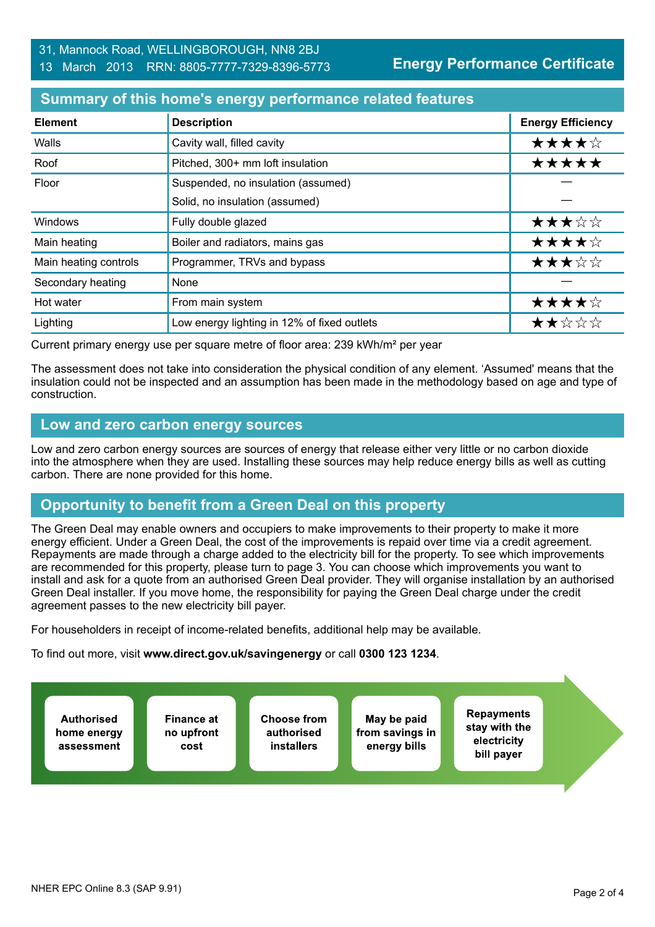## 31, Mannock Road, WELLINGBOROUGH, NN8 2BJ

### 13 March 2013 RRN: 8805-7777-7329-8396-5773

**Energy Performance Certificate**

## **Summary of this home's energy performance related features**

| <b>Element</b>        | <b>Description</b>                          | <b>Energy Efficiency</b> |
|-----------------------|---------------------------------------------|--------------------------|
| Walls                 | Cavity wall, filled cavity                  | ★★★★☆                    |
| Roof                  | Pitched, 300+ mm loft insulation            | *****                    |
| Floor                 | Suspended, no insulation (assumed)          |                          |
|                       | Solid, no insulation (assumed)              |                          |
| <b>Windows</b>        | Fully double glazed                         | ★★★☆☆                    |
| Main heating          | Boiler and radiators, mains gas             | ★★★★☆                    |
| Main heating controls | Programmer, TRVs and bypass                 | ★★★☆☆                    |
| Secondary heating     | None                                        |                          |
| Hot water             | From main system                            | ★★★★☆                    |
| Lighting              | Low energy lighting in 12% of fixed outlets | ★★☆☆☆                    |

Current primary energy use per square metre of floor area: 239 kWh/m² per year

The assessment does not take into consideration the physical condition of any element. 'Assumed' means that the insulation could not be inspected and an assumption has been made in the methodology based on age and type of construction.

## **Low and zero carbon energy sources**

Low and zero carbon energy sources are sources of energy that release either very little or no carbon dioxide into the atmosphere when they are used. Installing these sources may help reduce energy bills as well as cutting carbon. There are none provided for this home.

## **Opportunity to benefit from a Green Deal on this property**

The Green Deal may enable owners and occupiers to make improvements to their property to make it more energy efficient. Under a Green Deal, the cost of the improvements is repaid over time via a credit agreement. Repayments are made through a charge added to the electricity bill for the property. To see which improvements are recommended for this property, please turn to page 3. You can choose which improvements you want to install and ask for a quote from an authorised Green Deal provider. They will organise installation by an authorised Green Deal installer. If you move home, the responsibility for paying the Green Deal charge under the credit agreement passes to the new electricity bill payer.

For householders in receipt of income-related benefits, additional help may be available.

To find out more, visit **www.direct.gov.uk/savingenergy** or call **0300 123 1234**.

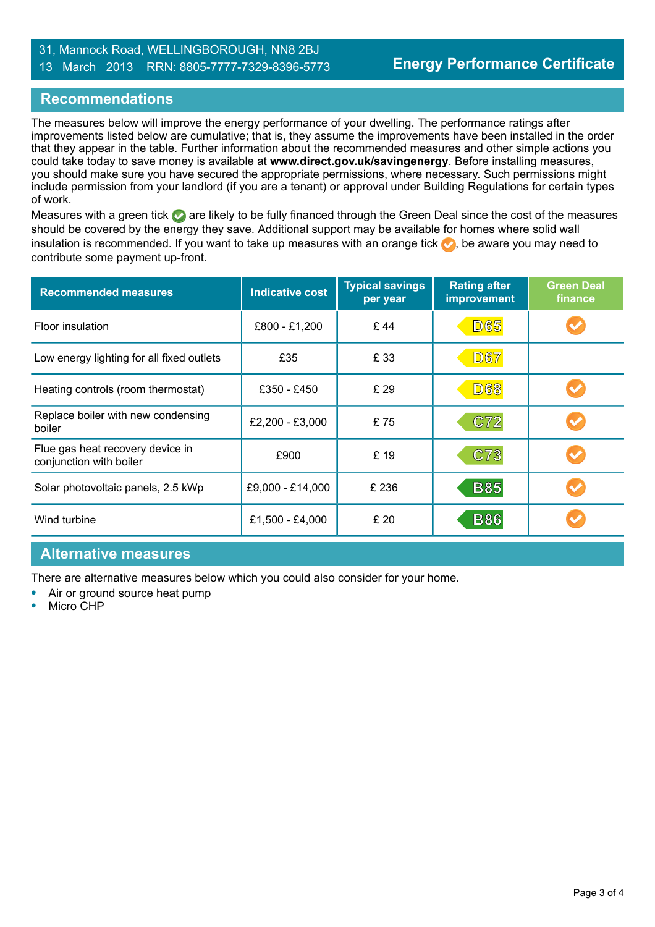## 31, Mannock Road, WELLINGBOROUGH, NN8 2BJ

#### 13 March 2013 RRN: 8805-7777-7329-8396-5773

## **Recommendations**

The measures below will improve the energy performance of your dwelling. The performance ratings after improvements listed below are cumulative; that is, they assume the improvements have been installed in the order that they appear in the table. Further information about the recommended measures and other simple actions you could take today to save money is available at **www.direct.gov.uk/savingenergy**. Before installing measures, you should make sure you have secured the appropriate permissions, where necessary. Such permissions might include permission from your landlord (if you are a tenant) or approval under Building Regulations for certain types of work.

Measures with a green tick are likely to be fully financed through the Green Deal since the cost of the measures should be covered by the energy they save. Additional support may be available for homes where solid wall insulation is recommended. If you want to take up measures with an orange tick  $\blacklozenge$ , be aware you may need to contribute some payment up-front.

| <b>Recommended measures</b>                                 | <b>Indicative cost</b> | <b>Typical savings</b><br>per year | <b>Rating after</b><br>improvement | <b>Green Deal</b><br>finance |
|-------------------------------------------------------------|------------------------|------------------------------------|------------------------------------|------------------------------|
| Floor insulation                                            | £800 - £1,200          | £44                                | <b>D65</b>                         |                              |
| Low energy lighting for all fixed outlets                   | £35                    | £ 33                               | <b>D67</b>                         |                              |
| Heating controls (room thermostat)                          | £350 - £450            | £ 29                               | <b>D68</b>                         |                              |
| Replace boiler with new condensing<br>boiler                | £2,200 - £3,000        | £75                                | C72                                |                              |
| Flue gas heat recovery device in<br>conjunction with boiler | £900                   | £19                                | C73                                |                              |
| Solar photovoltaic panels, 2.5 kWp                          | £9,000 - £14,000       | £ 236                              | <b>B85</b>                         |                              |
| Wind turbine                                                | £1,500 - £4,000        | £ 20                               | <b>B86</b>                         |                              |

## **Alternative measures**

There are alternative measures below which you could also consider for your home.

- **•** Air or ground source heat pump
- **•** Micro CHP